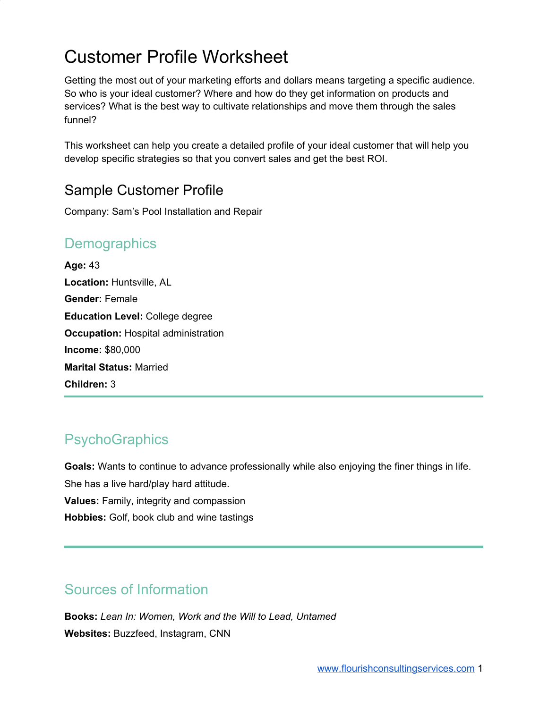# Customer Profile Worksheet

Getting the most out of your marketing efforts and dollars means targeting a specific audience. So who is your ideal customer? Where and how do they get information on products and services? What is the best way to cultivate relationships and move them through the sales funnel?

This worksheet can help you create a detailed profile of your ideal customer that will help you develop specific strategies so that you convert sales and get the best ROI.

### Sample Customer Profile

Company: Sam's Pool Installation and Repair

### **Demographics**

**Age:** 43 **Location:** Huntsville, AL **Gender:** Female **Education Level:** College degree **Occupation:** Hospital administration **Income:** \$80,000 **Marital Status:** Married **Children:** 3

## **PsychoGraphics**

**Goals:** Wants to continue to advance professionally while also enjoying the finer things in life. She has a live hard/play hard attitude. **Values:** Family, integrity and compassion **Hobbies:** Golf, book club and wine tastings

### Sources of Information

**Books:** *Lean In: Women, Work and the Will to Lead, Untamed* **Websites:** Buzzfeed, Instagram, CNN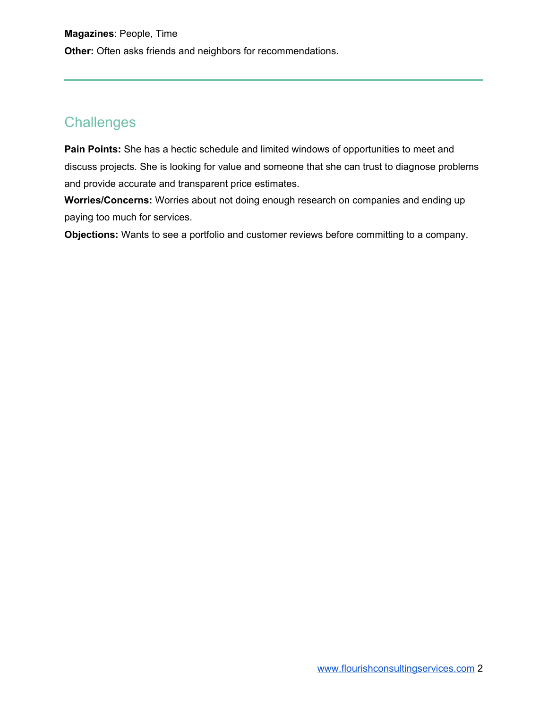### **Challenges**

**Pain Points:** She has a hectic schedule and limited windows of opportunities to meet and discuss projects. She is looking for value and someone that she can trust to diagnose problems and provide accurate and transparent price estimates.

**Worries/Concerns:** Worries about not doing enough research on companies and ending up paying too much for services.

**Objections:** Wants to see a portfolio and customer reviews before committing to a company.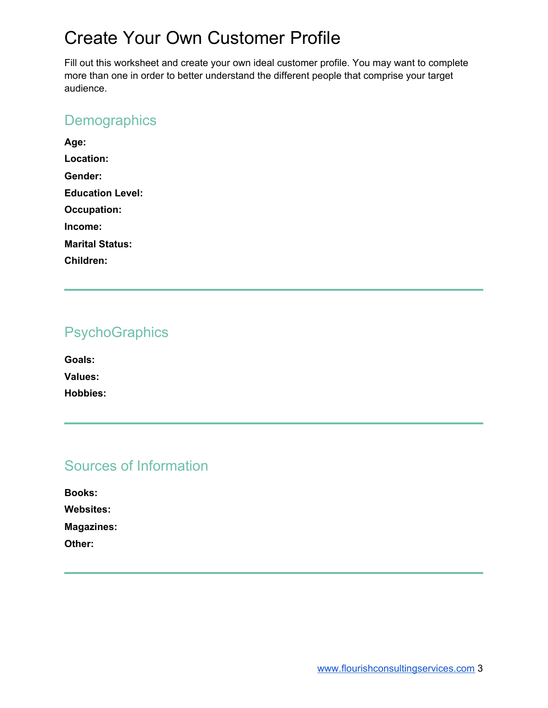## Create Your Own Customer Profile

Fill out this worksheet and create your own ideal customer profile. You may want to complete more than one in order to better understand the different people that comprise your target audience.

### **Demographics**

| Age:                    |  |
|-------------------------|--|
| Location:               |  |
| Gender:                 |  |
| <b>Education Level:</b> |  |
| <b>Occupation:</b>      |  |
| Income:                 |  |
| <b>Marital Status:</b>  |  |
| Children:               |  |

### **PsychoGraphics**

**Goals: Values: Hobbies:**

### Sources of Information

| <b>Books:</b>     |
|-------------------|
| <b>Websites:</b>  |
| <b>Magazines:</b> |
| Other:            |